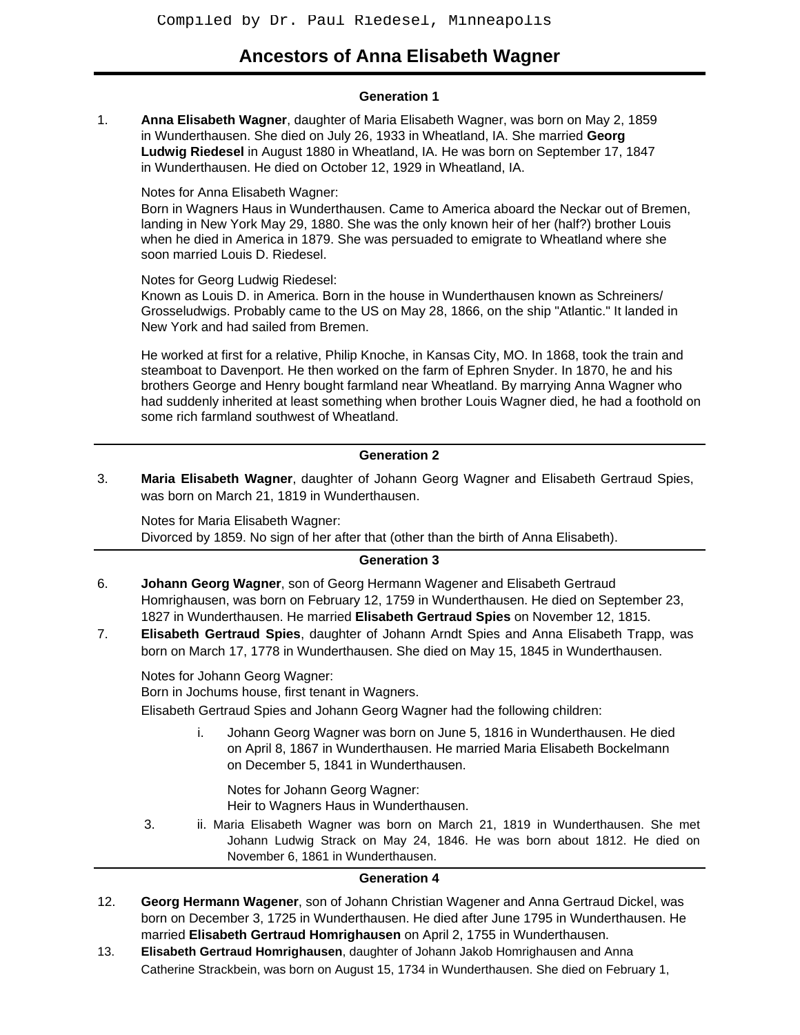# **Ancestors of Anna Elisabeth Wagner**

#### **Generation 1**

1. **Anna Elisabeth Wagner**, daughter of Maria Elisabeth Wagner, was born on May 2, 1859 in Wunderthausen. She died on July 26, 1933 in Wheatland, IA. She married **Georg Ludwig Riedesel** in August 1880 in Wheatland, IA. He was born on September 17, 1847 in Wunderthausen. He died on October 12, 1929 in Wheatland, IA.

Notes for Anna Elisabeth Wagner:

Born in Wagners Haus in Wunderthausen. Came to America aboard the Neckar out of Bremen, landing in New York May 29, 1880. She was the only known heir of her (half?) brother Louis when he died in America in 1879. She was persuaded to emigrate to Wheatland where she soon married Louis D. Riedesel.

Notes for Georg Ludwig Riedesel:

Known as Louis D. in America. Born in the house in Wunderthausen known as Schreiners/ Grosseludwigs. Probably came to the US on May 28, 1866, on the ship "Atlantic." It landed in New York and had sailed from Bremen.

He worked at first for a relative, Philip Knoche, in Kansas City, MO. In 1868, took the train and steamboat to Davenport. He then worked on the farm of Ephren Snyder. In 1870, he and his brothers George and Henry bought farmland near Wheatland. By marrying Anna Wagner who had suddenly inherited at least something when brother Louis Wagner died, he had a foothold on some rich farmland southwest of Wheatland.

## **Generation 2**

3. **Maria Elisabeth Wagner**, daughter of Johann Georg Wagner and Elisabeth Gertraud Spies, was born on March 21, 1819 in Wunderthausen.

Notes for Maria Elisabeth Wagner: Divorced by 1859. No sign of her after that (other than the birth of Anna Elisabeth).

# **Generation 3**

- 6. **Johann Georg Wagner**, son of Georg Hermann Wagener and Elisabeth Gertraud Homrighausen, was born on February 12, 1759 in Wunderthausen. He died on September 23, 1827 in Wunderthausen. He married **Elisabeth Gertraud Spies** on November 12, 1815.
- 7. **Elisabeth Gertraud Spies**, daughter of Johann Arndt Spies and Anna Elisabeth Trapp, was born on March 17, 1778 in Wunderthausen. She died on May 15, 1845 in Wunderthausen.

Notes for Johann Georg Wagner:

Born in Jochums house, first tenant in Wagners.

Elisabeth Gertraud Spies and Johann Georg Wagner had the following children:

i. Johann Georg Wagner was born on June 5, 1816 in Wunderthausen. He died on April 8, 1867 in Wunderthausen. He married Maria Elisabeth Bockelmann on December 5, 1841 in Wunderthausen.

Notes for Johann Georg Wagner: Heir to Wagners Haus in Wunderthausen.

3. ii. Maria Elisabeth Wagner was born on March 21, 1819 in Wunderthausen. She met Johann Ludwig Strack on May 24, 1846. He was born about 1812. He died on November 6, 1861 in Wunderthausen.

#### **Generation 4**

- 12. **Georg Hermann Wagener**, son of Johann Christian Wagener and Anna Gertraud Dickel, was born on December 3, 1725 in Wunderthausen. He died after June 1795 in Wunderthausen. He married **Elisabeth Gertraud Homrighausen** on April 2, 1755 in Wunderthausen.
- 13. **Elisabeth Gertraud Homrighausen**, daughter of Johann Jakob Homrighausen and Anna Catherine Strackbein, was born on August 15, 1734 in Wunderthausen. She died on February 1,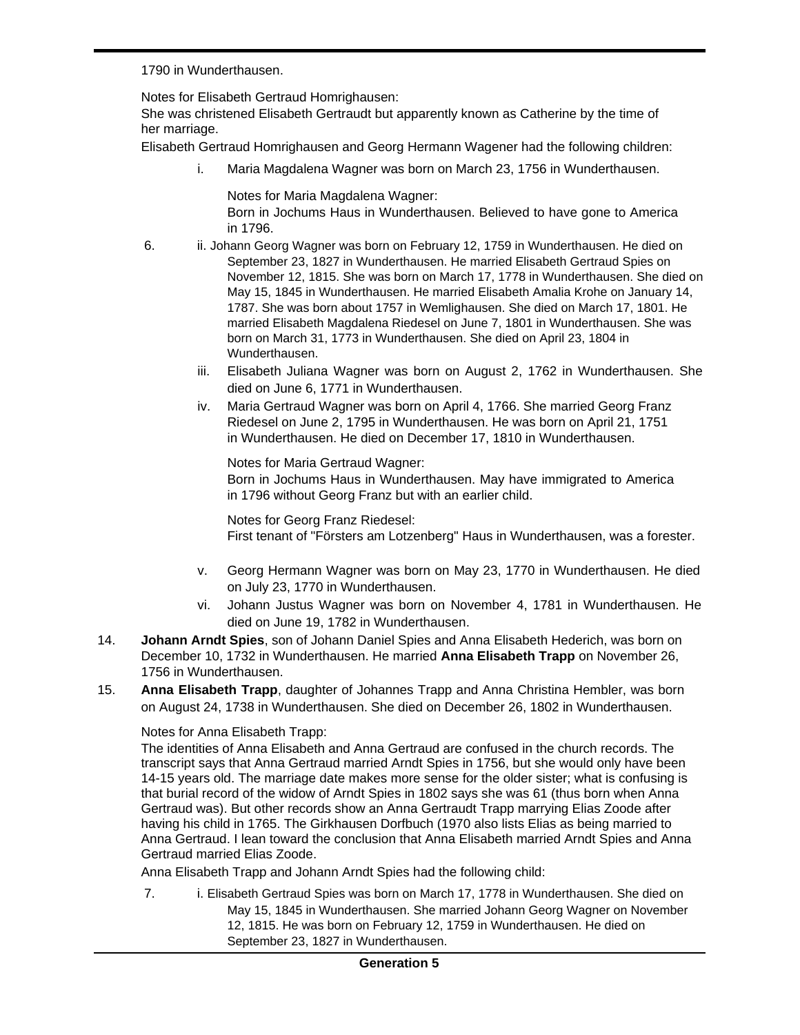1790 in Wunderthausen.

Notes for Elisabeth Gertraud Homrighausen:

She was christened Elisabeth Gertraudt but apparently known as Catherine by the time of her marriage.

Elisabeth Gertraud Homrighausen and Georg Hermann Wagener had the following children:

i. Maria Magdalena Wagner was born on March 23, 1756 in Wunderthausen.

Notes for Maria Magdalena Wagner: Born in Jochums Haus in Wunderthausen. Believed to have gone to America in 1796.

- 6. ii. Johann Georg Wagner was born on February 12, 1759 in Wunderthausen. He died on September 23, 1827 in Wunderthausen. He married Elisabeth Gertraud Spies on November 12, 1815. She was born on March 17, 1778 in Wunderthausen. She died on May 15, 1845 in Wunderthausen. He married Elisabeth Amalia Krohe on January 14, 1787. She was born about 1757 in Wemlighausen. She died on March 17, 1801. He married Elisabeth Magdalena Riedesel on June 7, 1801 in Wunderthausen. She was born on March 31, 1773 in Wunderthausen. She died on April 23, 1804 in Wunderthausen.
	- iii. Elisabeth Juliana Wagner was born on August 2, 1762 in Wunderthausen. She died on June 6, 1771 in Wunderthausen.
	- iv. Maria Gertraud Wagner was born on April 4, 1766. She married Georg Franz Riedesel on June 2, 1795 in Wunderthausen. He was born on April 21, 1751 in Wunderthausen. He died on December 17, 1810 in Wunderthausen.

Notes for Maria Gertraud Wagner:

Born in Jochums Haus in Wunderthausen. May have immigrated to America in 1796 without Georg Franz but with an earlier child.

Notes for Georg Franz Riedesel: First tenant of "Försters am Lotzenberg" Haus in Wunderthausen, was a forester.

- v. Georg Hermann Wagner was born on May 23, 1770 in Wunderthausen. He died on July 23, 1770 in Wunderthausen.
- vi. Johann Justus Wagner was born on November 4, 1781 in Wunderthausen. He died on June 19, 1782 in Wunderthausen.
- 14. **Johann Arndt Spies**, son of Johann Daniel Spies and Anna Elisabeth Hederich, was born on December 10, 1732 in Wunderthausen. He married **Anna Elisabeth Trapp** on November 26, 1756 in Wunderthausen.
- 15. **Anna Elisabeth Trapp**, daughter of Johannes Trapp and Anna Christina Hembler, was born on August 24, 1738 in Wunderthausen. She died on December 26, 1802 in Wunderthausen.

# Notes for Anna Elisabeth Trapp:

The identities of Anna Elisabeth and Anna Gertraud are confused in the church records. The transcript says that Anna Gertraud married Arndt Spies in 1756, but she would only have been 14-15 years old. The marriage date makes more sense for the older sister; what is confusing is that burial record of the widow of Arndt Spies in 1802 says she was 61 (thus born when Anna Gertraud was). But other records show an Anna Gertraudt Trapp marrying Elias Zoode after having his child in 1765. The Girkhausen Dorfbuch (1970 also lists Elias as being married to Anna Gertraud. I lean toward the conclusion that Anna Elisabeth married Arndt Spies and Anna Gertraud married Elias Zoode.

Anna Elisabeth Trapp and Johann Arndt Spies had the following child:

7. i. Elisabeth Gertraud Spies was born on March 17, 1778 in Wunderthausen. She died on May 15, 1845 in Wunderthausen. She married Johann Georg Wagner on November 12, 1815. He was born on February 12, 1759 in Wunderthausen. He died on September 23, 1827 in Wunderthausen.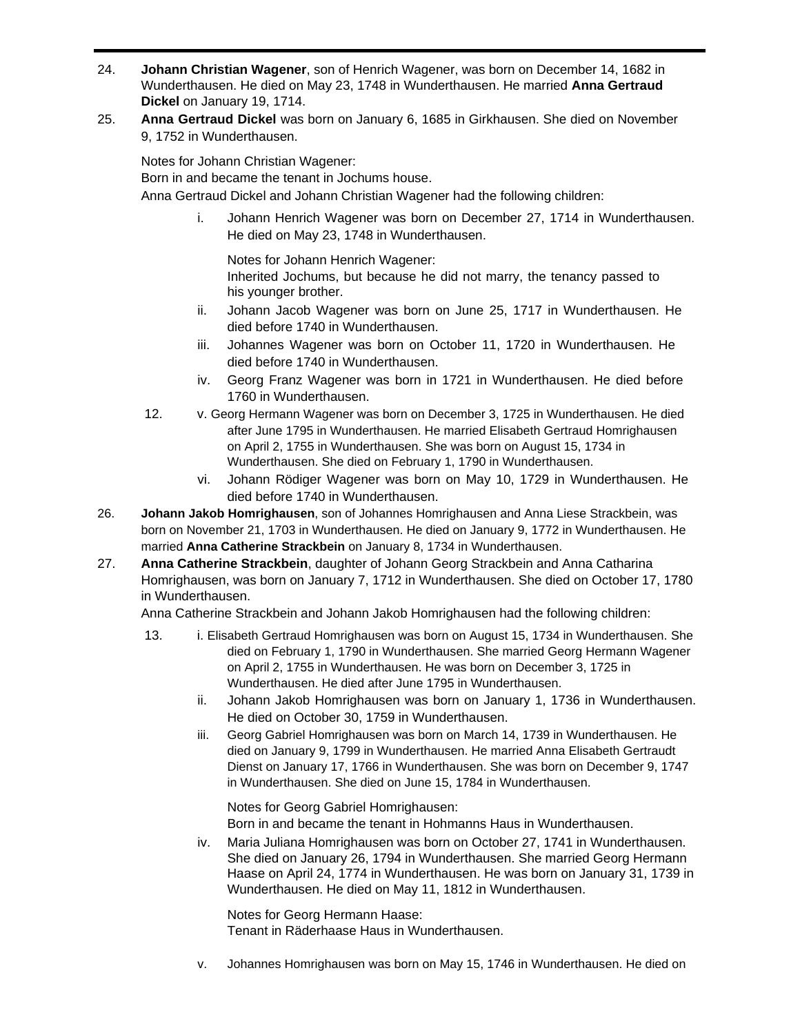- 24. **Johann Christian Wagener**, son of Henrich Wagener, was born on December 14, 1682 in Wunderthausen. He died on May 23, 1748 in Wunderthausen. He married **Anna Gertraud Dickel** on January 19, 1714.
- 25. **Anna Gertraud Dickel** was born on January 6, 1685 in Girkhausen. She died on November 9, 1752 in Wunderthausen.

Notes for Johann Christian Wagener:

Born in and became the tenant in Jochums house.

Anna Gertraud Dickel and Johann Christian Wagener had the following children:

i. Johann Henrich Wagener was born on December 27, 1714 in Wunderthausen. He died on May 23, 1748 in Wunderthausen.

Notes for Johann Henrich Wagener: Inherited Jochums, but because he did not marry, the tenancy passed to his younger brother.

- ii. Johann Jacob Wagener was born on June 25, 1717 in Wunderthausen. He died before 1740 in Wunderthausen.
- iii. Johannes Wagener was born on October 11, 1720 in Wunderthausen. He died before 1740 in Wunderthausen.
- iv. Georg Franz Wagener was born in 1721 in Wunderthausen. He died before 1760 in Wunderthausen.
- 12. v. Georg Hermann Wagener was born on December 3, 1725 in Wunderthausen. He died after June 1795 in Wunderthausen. He married Elisabeth Gertraud Homrighausen on April 2, 1755 in Wunderthausen. She was born on August 15, 1734 in Wunderthausen. She died on February 1, 1790 in Wunderthausen.
	- vi. Johann Rödiger Wagener was born on May 10, 1729 in Wunderthausen. He died before 1740 in Wunderthausen.
- 26. **Johann Jakob Homrighausen**, son of Johannes Homrighausen and Anna Liese Strackbein, was born on November 21, 1703 in Wunderthausen. He died on January 9, 1772 in Wunderthausen. He married **Anna Catherine Strackbein** on January 8, 1734 in Wunderthausen.
- 27. **Anna Catherine Strackbein**, daughter of Johann Georg Strackbein and Anna Catharina Homrighausen, was born on January 7, 1712 in Wunderthausen. She died on October 17, 1780 in Wunderthausen.

Anna Catherine Strackbein and Johann Jakob Homrighausen had the following children:

- 13. i. Elisabeth Gertraud Homrighausen was born on August 15, 1734 in Wunderthausen. She died on February 1, 1790 in Wunderthausen. She married Georg Hermann Wagener on April 2, 1755 in Wunderthausen. He was born on December 3, 1725 in Wunderthausen. He died after June 1795 in Wunderthausen.
	- ii. Johann Jakob Homrighausen was born on January 1, 1736 in Wunderthausen. He died on October 30, 1759 in Wunderthausen.
	- iii. Georg Gabriel Homrighausen was born on March 14, 1739 in Wunderthausen. He died on January 9, 1799 in Wunderthausen. He married Anna Elisabeth Gertraudt Dienst on January 17, 1766 in Wunderthausen. She was born on December 9, 1747 in Wunderthausen. She died on June 15, 1784 in Wunderthausen.

Notes for Georg Gabriel Homrighausen: Born in and became the tenant in Hohmanns Haus in Wunderthausen.

iv. Maria Juliana Homrighausen was born on October 27, 1741 in Wunderthausen. She died on January 26, 1794 in Wunderthausen. She married Georg Hermann Haase on April 24, 1774 in Wunderthausen. He was born on January 31, 1739 in Wunderthausen. He died on May 11, 1812 in Wunderthausen.

Notes for Georg Hermann Haase: Tenant in Räderhaase Haus in Wunderthausen.

v. Johannes Homrighausen was born on May 15, 1746 in Wunderthausen. He died on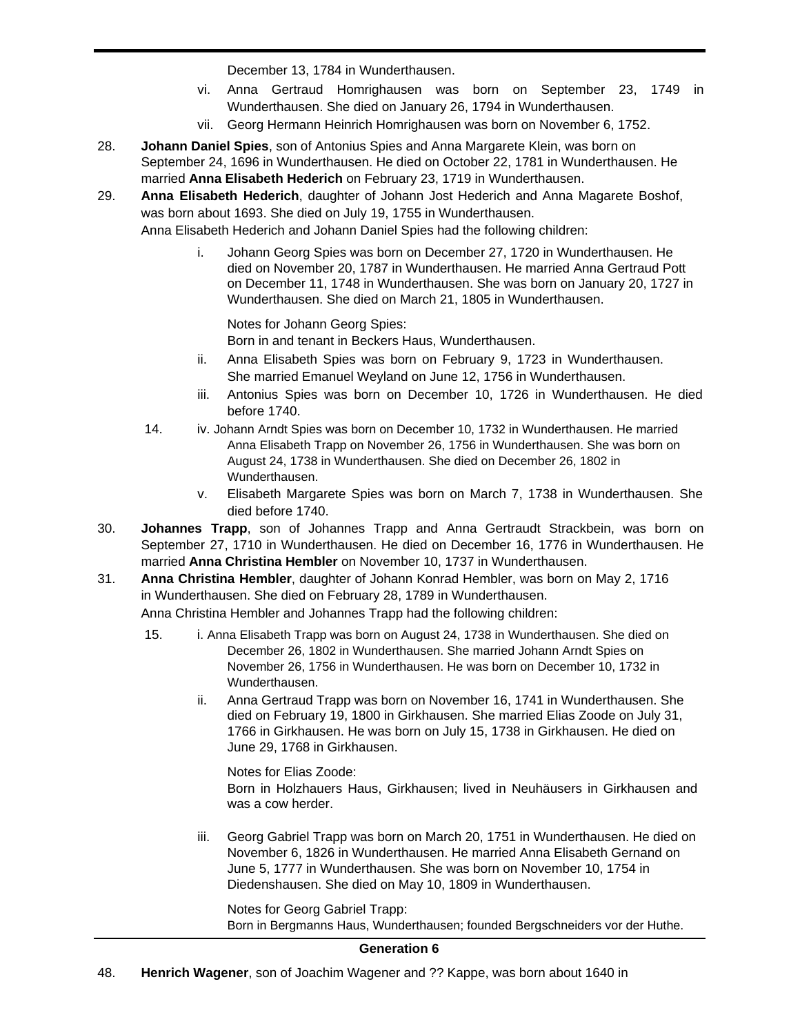December 13, 1784 in Wunderthausen.

- vi. Anna Gertraud Homrighausen was born on September 23, 1749 in Wunderthausen. She died on January 26, 1794 in Wunderthausen.
- vii. Georg Hermann Heinrich Homrighausen was born on November 6, 1752.
- 28. **Johann Daniel Spies**, son of Antonius Spies and Anna Margarete Klein, was born on September 24, 1696 in Wunderthausen. He died on October 22, 1781 in Wunderthausen. He married **Anna Elisabeth Hederich** on February 23, 1719 in Wunderthausen.
- 29. **Anna Elisabeth Hederich**, daughter of Johann Jost Hederich and Anna Magarete Boshof, was born about 1693. She died on July 19, 1755 in Wunderthausen.

Anna Elisabeth Hederich and Johann Daniel Spies had the following children:

i. Johann Georg Spies was born on December 27, 1720 in Wunderthausen. He died on November 20, 1787 in Wunderthausen. He married Anna Gertraud Pott on December 11, 1748 in Wunderthausen. She was born on January 20, 1727 in Wunderthausen. She died on March 21, 1805 in Wunderthausen.

Notes for Johann Georg Spies: Born in and tenant in Beckers Haus, Wunderthausen.

- ii. Anna Elisabeth Spies was born on February 9, 1723 in Wunderthausen. She married Emanuel Weyland on June 12, 1756 in Wunderthausen.
- iii. Antonius Spies was born on December 10, 1726 in Wunderthausen. He died before 1740.
- 14. iv. Johann Arndt Spies was born on December 10, 1732 in Wunderthausen. He married Anna Elisabeth Trapp on November 26, 1756 in Wunderthausen. She was born on August 24, 1738 in Wunderthausen. She died on December 26, 1802 in Wunderthausen.
	- v. Elisabeth Margarete Spies was born on March 7, 1738 in Wunderthausen. She died before 1740.
- 30. **Johannes Trapp**, son of Johannes Trapp and Anna Gertraudt Strackbein, was born on September 27, 1710 in Wunderthausen. He died on December 16, 1776 in Wunderthausen. He married **Anna Christina Hembler** on November 10, 1737 in Wunderthausen.
- 31. **Anna Christina Hembler**, daughter of Johann Konrad Hembler, was born on May 2, 1716 in Wunderthausen. She died on February 28, 1789 in Wunderthausen.

Anna Christina Hembler and Johannes Trapp had the following children:

- 15. i. Anna Elisabeth Trapp was born on August 24, 1738 in Wunderthausen. She died on December 26, 1802 in Wunderthausen. She married Johann Arndt Spies on November 26, 1756 in Wunderthausen. He was born on December 10, 1732 in Wunderthausen.
	- ii. Anna Gertraud Trapp was born on November 16, 1741 in Wunderthausen. She died on February 19, 1800 in Girkhausen. She married Elias Zoode on July 31, 1766 in Girkhausen. He was born on July 15, 1738 in Girkhausen. He died on June 29, 1768 in Girkhausen.

Notes for Elias Zoode: Born in Holzhauers Haus, Girkhausen; lived in Neuhäusers in Girkhausen and was a cow herder.

iii. Georg Gabriel Trapp was born on March 20, 1751 in Wunderthausen. He died on November 6, 1826 in Wunderthausen. He married Anna Elisabeth Gernand on June 5, 1777 in Wunderthausen. She was born on November 10, 1754 in Diedenshausen. She died on May 10, 1809 in Wunderthausen.

Notes for Georg Gabriel Trapp: Born in Bergmanns Haus, Wunderthausen; founded Bergschneiders vor der Huthe.

# **Generation 6**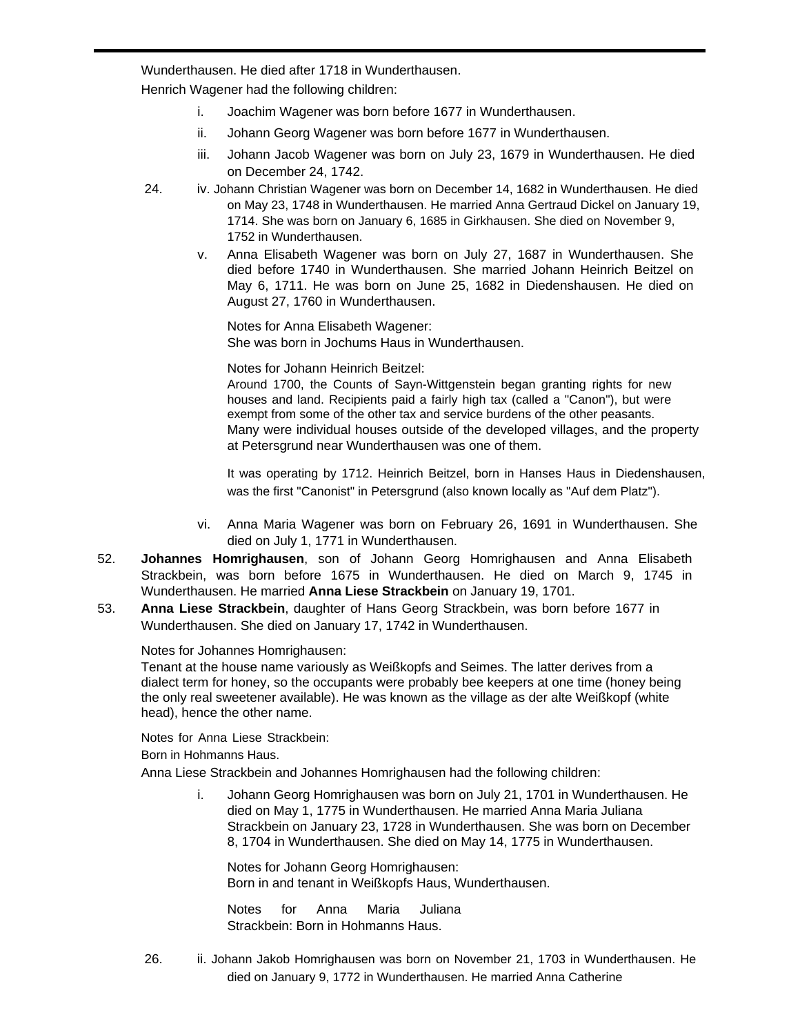Wunderthausen. He died after 1718 in Wunderthausen.

Henrich Wagener had the following children:

- i. Joachim Wagener was born before 1677 in Wunderthausen.
- ii. Johann Georg Wagener was born before 1677 in Wunderthausen.
- iii. Johann Jacob Wagener was born on July 23, 1679 in Wunderthausen. He died on December 24, 1742.
- 24. iv. Johann Christian Wagener was born on December 14, 1682 in Wunderthausen. He died on May 23, 1748 in Wunderthausen. He married Anna Gertraud Dickel on January 19, 1714. She was born on January 6, 1685 in Girkhausen. She died on November 9, 1752 in Wunderthausen.
	- v. Anna Elisabeth Wagener was born on July 27, 1687 in Wunderthausen. She died before 1740 in Wunderthausen. She married Johann Heinrich Beitzel on May 6, 1711. He was born on June 25, 1682 in Diedenshausen. He died on August 27, 1760 in Wunderthausen.

Notes for Anna Elisabeth Wagener: She was born in Jochums Haus in Wunderthausen.

Notes for Johann Heinrich Beitzel:

Around 1700, the Counts of Sayn-Wittgenstein began granting rights for new houses and land. Recipients paid a fairly high tax (called a "Canon"), but were exempt from some of the other tax and service burdens of the other peasants. Many were individual houses outside of the developed villages, and the property at Petersgrund near Wunderthausen was one of them.

It was operating by 1712. Heinrich Beitzel, born in Hanses Haus in Diedenshausen, was the first "Canonist" in Petersgrund (also known locally as "Auf dem Platz").

- vi. Anna Maria Wagener was born on February 26, 1691 in Wunderthausen. She died on July 1, 1771 in Wunderthausen.
- 52. **Johannes Homrighausen**, son of Johann Georg Homrighausen and Anna Elisabeth Strackbein, was born before 1675 in Wunderthausen. He died on March 9, 1745 in Wunderthausen. He married **Anna Liese Strackbein** on January 19, 1701.
- 53. **Anna Liese Strackbein**, daughter of Hans Georg Strackbein, was born before 1677 in Wunderthausen. She died on January 17, 1742 in Wunderthausen.

Notes for Johannes Homrighausen:

Tenant at the house name variously as Weißkopfs and Seimes. The latter derives from a dialect term for honey, so the occupants were probably bee keepers at one time (honey being the only real sweetener available). He was known as the village as der alte Weißkopf (white head), hence the other name.

Notes for Anna Liese Strackbein: Born in Hohmanns Haus.

Anna Liese Strackbein and Johannes Homrighausen had the following children:

i. Johann Georg Homrighausen was born on July 21, 1701 in Wunderthausen. He died on May 1, 1775 in Wunderthausen. He married Anna Maria Juliana Strackbein on January 23, 1728 in Wunderthausen. She was born on December 8, 1704 in Wunderthausen. She died on May 14, 1775 in Wunderthausen.

Notes for Johann Georg Homrighausen: Born in and tenant in Weißkopfs Haus, Wunderthausen.

Notes for Anna Maria Juliana Strackbein: Born in Hohmanns Haus.

26. ii. Johann Jakob Homrighausen was born on November 21, 1703 in Wunderthausen. He died on January 9, 1772 in Wunderthausen. He married Anna Catherine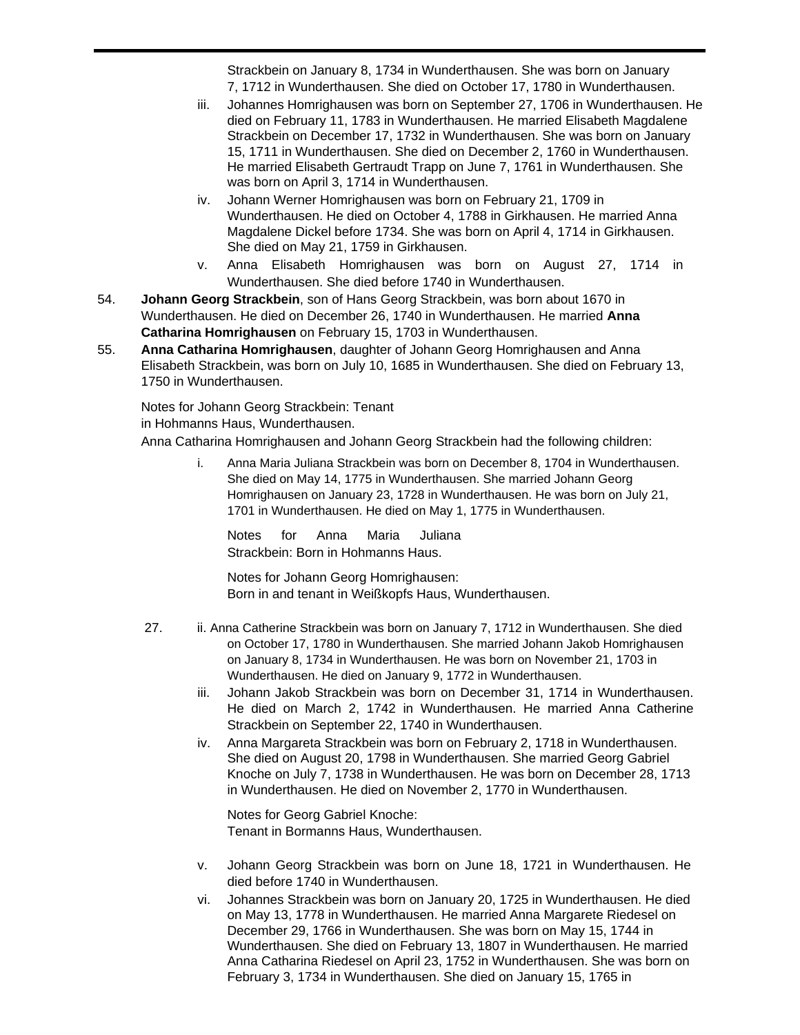Strackbein on January 8, 1734 in Wunderthausen. She was born on January 7, 1712 in Wunderthausen. She died on October 17, 1780 in Wunderthausen.

- iii. Johannes Homrighausen was born on September 27, 1706 in Wunderthausen. He died on February 11, 1783 in Wunderthausen. He married Elisabeth Magdalene Strackbein on December 17, 1732 in Wunderthausen. She was born on January 15, 1711 in Wunderthausen. She died on December 2, 1760 in Wunderthausen. He married Elisabeth Gertraudt Trapp on June 7, 1761 in Wunderthausen. She was born on April 3, 1714 in Wunderthausen.
- iv. Johann Werner Homrighausen was born on February 21, 1709 in Wunderthausen. He died on October 4, 1788 in Girkhausen. He married Anna Magdalene Dickel before 1734. She was born on April 4, 1714 in Girkhausen. She died on May 21, 1759 in Girkhausen.
- v. Anna Elisabeth Homrighausen was born on August 27, 1714 in Wunderthausen. She died before 1740 in Wunderthausen.
- 54. **Johann Georg Strackbein**, son of Hans Georg Strackbein, was born about 1670 in Wunderthausen. He died on December 26, 1740 in Wunderthausen. He married **Anna Catharina Homrighausen** on February 15, 1703 in Wunderthausen.
- 55. **Anna Catharina Homrighausen**, daughter of Johann Georg Homrighausen and Anna Elisabeth Strackbein, was born on July 10, 1685 in Wunderthausen. She died on February 13, 1750 in Wunderthausen.

Notes for Johann Georg Strackbein: Tenant in Hohmanns Haus, Wunderthausen.

Anna Catharina Homrighausen and Johann Georg Strackbein had the following children:

i. Anna Maria Juliana Strackbein was born on December 8, 1704 in Wunderthausen. She died on May 14, 1775 in Wunderthausen. She married Johann Georg Homrighausen on January 23, 1728 in Wunderthausen. He was born on July 21, 1701 in Wunderthausen. He died on May 1, 1775 in Wunderthausen.

Notes for Anna Maria Juliana Strackbein: Born in Hohmanns Haus.

Notes for Johann Georg Homrighausen: Born in and tenant in Weißkopfs Haus, Wunderthausen.

- 27. ii. Anna Catherine Strackbein was born on January 7, 1712 in Wunderthausen. She died on October 17, 1780 in Wunderthausen. She married Johann Jakob Homrighausen on January 8, 1734 in Wunderthausen. He was born on November 21, 1703 in Wunderthausen. He died on January 9, 1772 in Wunderthausen.
	- iii. Johann Jakob Strackbein was born on December 31, 1714 in Wunderthausen. He died on March 2, 1742 in Wunderthausen. He married Anna Catherine Strackbein on September 22, 1740 in Wunderthausen.
	- iv. Anna Margareta Strackbein was born on February 2, 1718 in Wunderthausen. She died on August 20, 1798 in Wunderthausen. She married Georg Gabriel Knoche on July 7, 1738 in Wunderthausen. He was born on December 28, 1713 in Wunderthausen. He died on November 2, 1770 in Wunderthausen.

Notes for Georg Gabriel Knoche: Tenant in Bormanns Haus, Wunderthausen.

- v. Johann Georg Strackbein was born on June 18, 1721 in Wunderthausen. He died before 1740 in Wunderthausen.
- vi. Johannes Strackbein was born on January 20, 1725 in Wunderthausen. He died on May 13, 1778 in Wunderthausen. He married Anna Margarete Riedesel on December 29, 1766 in Wunderthausen. She was born on May 15, 1744 in Wunderthausen. She died on February 13, 1807 in Wunderthausen. He married Anna Catharina Riedesel on April 23, 1752 in Wunderthausen. She was born on February 3, 1734 in Wunderthausen. She died on January 15, 1765 in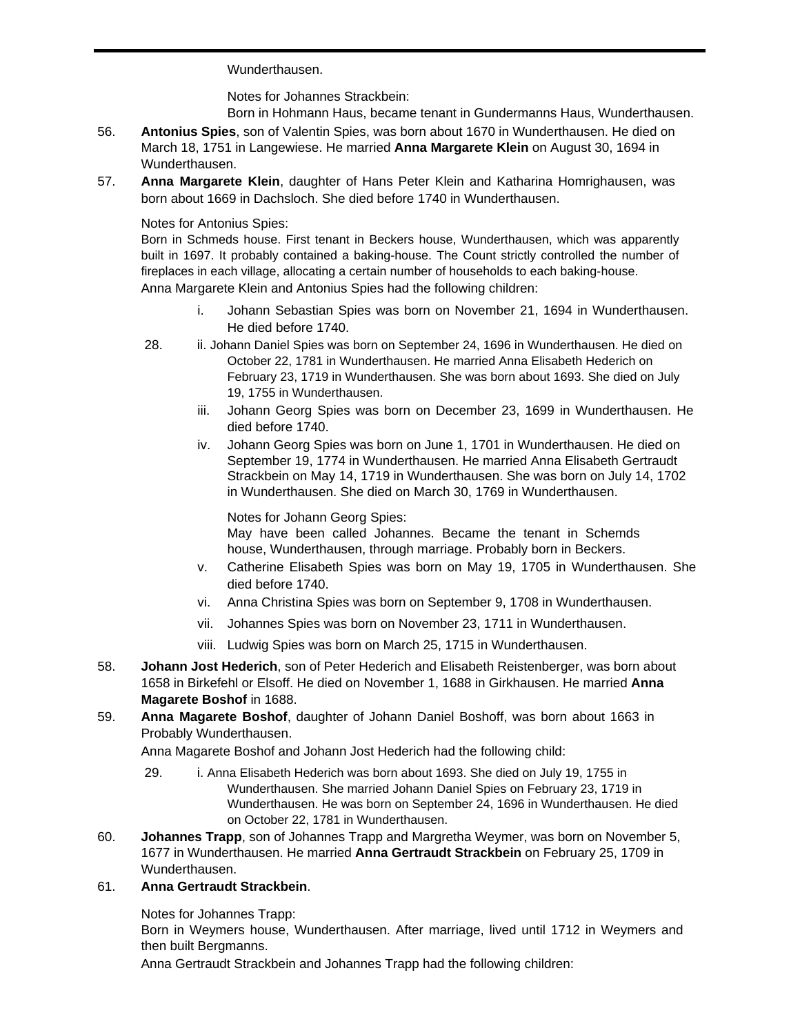Wunderthausen.

Notes for Johannes Strackbein:

Born in Hohmann Haus, became tenant in Gundermanns Haus, Wunderthausen.

- 56. **Antonius Spies**, son of Valentin Spies, was born about 1670 in Wunderthausen. He died on March 18, 1751 in Langewiese. He married **Anna Margarete Klein** on August 30, 1694 in Wunderthausen.
- 57. **Anna Margarete Klein**, daughter of Hans Peter Klein and Katharina Homrighausen, was born about 1669 in Dachsloch. She died before 1740 in Wunderthausen.

# Notes for Antonius Spies:

Born in Schmeds house. First tenant in Beckers house, Wunderthausen, which was apparently built in 1697. It probably contained a baking-house. The Count strictly controlled the number of fireplaces in each village, allocating a certain number of households to each baking-house. Anna Margarete Klein and Antonius Spies had the following children:

- i. Johann Sebastian Spies was born on November 21, 1694 in Wunderthausen. He died before 1740.
- 28. ii. Johann Daniel Spies was born on September 24, 1696 in Wunderthausen. He died on October 22, 1781 in Wunderthausen. He married Anna Elisabeth Hederich on February 23, 1719 in Wunderthausen. She was born about 1693. She died on July 19, 1755 in Wunderthausen.
	- iii. Johann Georg Spies was born on December 23, 1699 in Wunderthausen. He died before 1740.
	- iv. Johann Georg Spies was born on June 1, 1701 in Wunderthausen. He died on September 19, 1774 in Wunderthausen. He married Anna Elisabeth Gertraudt Strackbein on May 14, 1719 in Wunderthausen. She was born on July 14, 1702 in Wunderthausen. She died on March 30, 1769 in Wunderthausen.

## Notes for Johann Georg Spies:

May have been called Johannes. Became the tenant in Schemds house, Wunderthausen, through marriage. Probably born in Beckers.

- v. Catherine Elisabeth Spies was born on May 19, 1705 in Wunderthausen. She died before 1740.
- vi. Anna Christina Spies was born on September 9, 1708 in Wunderthausen.
- vii. Johannes Spies was born on November 23, 1711 in Wunderthausen.
- viii. Ludwig Spies was born on March 25, 1715 in Wunderthausen.
- 58. **Johann Jost Hederich**, son of Peter Hederich and Elisabeth Reistenberger, was born about 1658 in Birkefehl or Elsoff. He died on November 1, 1688 in Girkhausen. He married **Anna Magarete Boshof** in 1688.
- 59. **Anna Magarete Boshof**, daughter of Johann Daniel Boshoff, was born about 1663 in Probably Wunderthausen.

Anna Magarete Boshof and Johann Jost Hederich had the following child:

- 29. i. Anna Elisabeth Hederich was born about 1693. She died on July 19, 1755 in Wunderthausen. She married Johann Daniel Spies on February 23, 1719 in Wunderthausen. He was born on September 24, 1696 in Wunderthausen. He died on October 22, 1781 in Wunderthausen.
- 60. **Johannes Trapp**, son of Johannes Trapp and Margretha Weymer, was born on November 5, 1677 in Wunderthausen. He married **Anna Gertraudt Strackbein** on February 25, 1709 in Wunderthausen.

# 61. **Anna Gertraudt Strackbein**.

Notes for Johannes Trapp:

Born in Weymers house, Wunderthausen. After marriage, lived until 1712 in Weymers and then built Bergmanns.

Anna Gertraudt Strackbein and Johannes Trapp had the following children: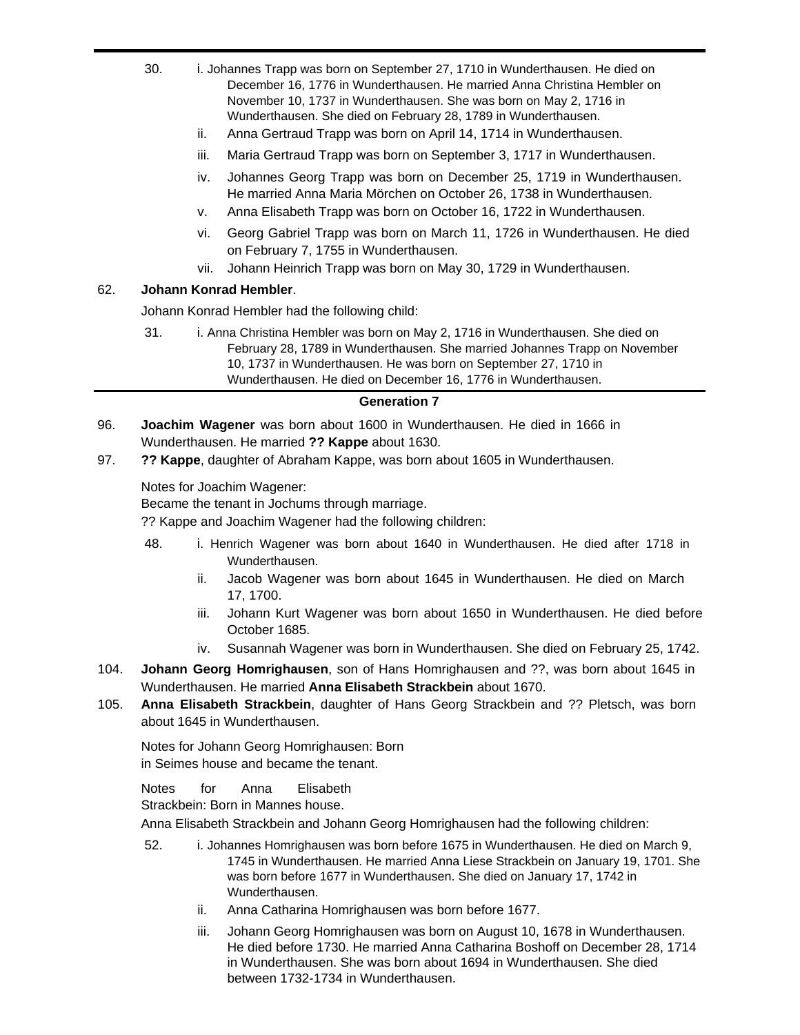- 30. i. Johannes Trapp was born on September 27, 1710 in Wunderthausen. He died on December 16, 1776 in Wunderthausen. He married Anna Christina Hembler on November 10, 1737 in Wunderthausen. She was born on May 2, 1716 in Wunderthausen. She died on February 28, 1789 in Wunderthausen.
	- ii. Anna Gertraud Trapp was born on April 14, 1714 in Wunderthausen.
	- iii. Maria Gertraud Trapp was born on September 3, 1717 in Wunderthausen.
	- iv. Johannes Georg Trapp was born on December 25, 1719 in Wunderthausen. He married Anna Maria Mörchen on October 26, 1738 in Wunderthausen.
	- v. Anna Elisabeth Trapp was born on October 16, 1722 in Wunderthausen.
	- vi. Georg Gabriel Trapp was born on March 11, 1726 in Wunderthausen. He died on February 7, 1755 in Wunderthausen.
	- vii. Johann Heinrich Trapp was born on May 30, 1729 in Wunderthausen.

## 62. **Johann Konrad Hembler**.

Johann Konrad Hembler had the following child:

31. i. Anna Christina Hembler was born on May 2, 1716 in Wunderthausen. She died on February 28, 1789 in Wunderthausen. She married Johannes Trapp on November 10, 1737 in Wunderthausen. He was born on September 27, 1710 in Wunderthausen. He died on December 16, 1776 in Wunderthausen.

#### **Generation 7**

- 96. **Joachim Wagener** was born about 1600 in Wunderthausen. He died in 1666 in Wunderthausen. He married **?? Kappe** about 1630.
- 97. **?? Kappe**, daughter of Abraham Kappe, was born about 1605 in Wunderthausen.

Notes for Joachim Wagener:

Became the tenant in Jochums through marriage.

?? Kappe and Joachim Wagener had the following children:

- 48. i. Henrich Wagener was born about 1640 in Wunderthausen. He died after 1718 in Wunderthausen.
	- ii. Jacob Wagener was born about 1645 in Wunderthausen. He died on March 17, 1700.
	- iii. Johann Kurt Wagener was born about 1650 in Wunderthausen. He died before October 1685.
	- iv. Susannah Wagener was born in Wunderthausen. She died on February 25, 1742.
- 104. **Johann Georg Homrighausen**, son of Hans Homrighausen and ??, was born about 1645 in Wunderthausen. He married **Anna Elisabeth Strackbein** about 1670.
- 105. **Anna Elisabeth Strackbein**, daughter of Hans Georg Strackbein and ?? Pletsch, was born about 1645 in Wunderthausen.

Notes for Johann Georg Homrighausen: Born in Seimes house and became the tenant.

Notes for Anna Elisabeth

Strackbein: Born in Mannes house.

Anna Elisabeth Strackbein and Johann Georg Homrighausen had the following children:

- 52. i. Johannes Homrighausen was born before 1675 in Wunderthausen. He died on March 9, 1745 in Wunderthausen. He married Anna Liese Strackbein on January 19, 1701. She was born before 1677 in Wunderthausen. She died on January 17, 1742 in Wunderthausen.
	- ii. Anna Catharina Homrighausen was born before 1677.
	- iii. Johann Georg Homrighausen was born on August 10, 1678 in Wunderthausen. He died before 1730. He married Anna Catharina Boshoff on December 28, 1714 in Wunderthausen. She was born about 1694 in Wunderthausen. She died between 1732-1734 in Wunderthausen.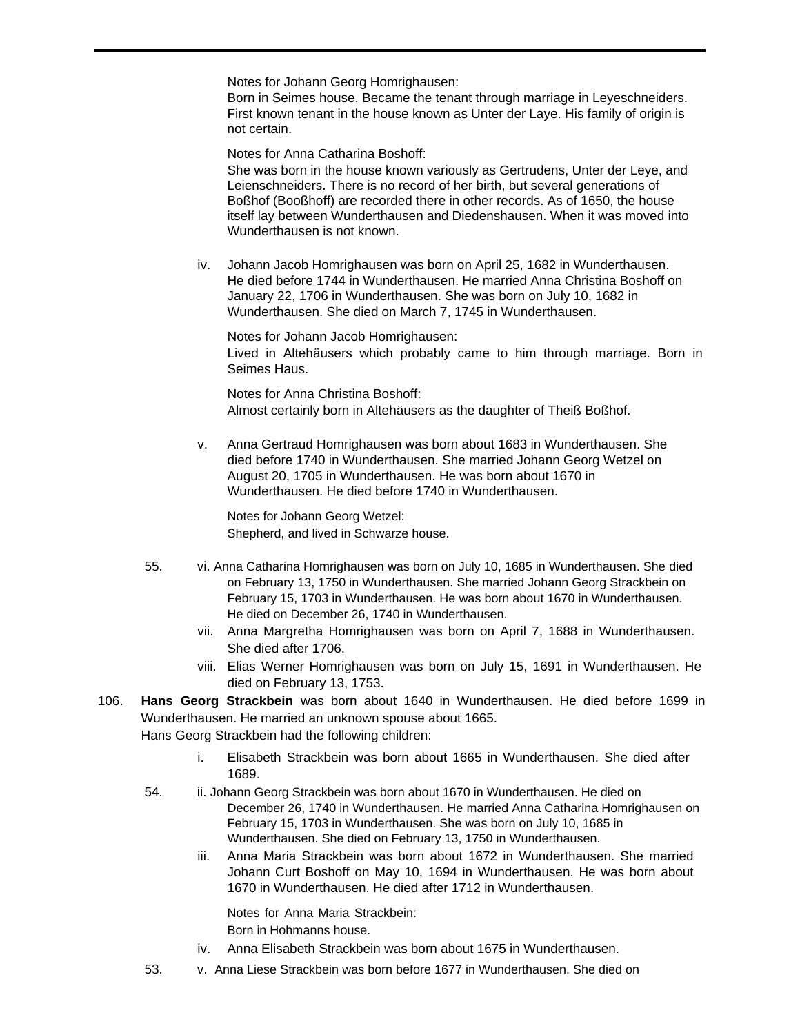Notes for Johann Georg Homrighausen:

Born in Seimes house. Became the tenant through marriage in Leyeschneiders. First known tenant in the house known as Unter der Laye. His family of origin is not certain.

Notes for Anna Catharina Boshoff:

She was born in the house known variously as Gertrudens, Unter der Leye, and Leienschneiders. There is no record of her birth, but several generations of Boßhof (Booßhoff) are recorded there in other records. As of 1650, the house itself lay between Wunderthausen and Diedenshausen. When it was moved into Wunderthausen is not known.

iv. Johann Jacob Homrighausen was born on April 25, 1682 in Wunderthausen. He died before 1744 in Wunderthausen. He married Anna Christina Boshoff on January 22, 1706 in Wunderthausen. She was born on July 10, 1682 in Wunderthausen. She died on March 7, 1745 in Wunderthausen.

Notes for Johann Jacob Homrighausen: Lived in Altehäusers which probably came to him through marriage. Born in Seimes Haus.

Notes for Anna Christina Boshoff: Almost certainly born in Altehäusers as the daughter of Theiß Boßhof.

v. Anna Gertraud Homrighausen was born about 1683 in Wunderthausen. She died before 1740 in Wunderthausen. She married Johann Georg Wetzel on August 20, 1705 in Wunderthausen. He was born about 1670 in Wunderthausen. He died before 1740 in Wunderthausen.

Notes for Johann Georg Wetzel: Shepherd, and lived in Schwarze house.

- 55. vi. Anna Catharina Homrighausen was born on July 10, 1685 in Wunderthausen. She died on February 13, 1750 in Wunderthausen. She married Johann Georg Strackbein on February 15, 1703 in Wunderthausen. He was born about 1670 in Wunderthausen. He died on December 26, 1740 in Wunderthausen.
	- vii. Anna Margretha Homrighausen was born on April 7, 1688 in Wunderthausen. She died after 1706.
	- viii. Elias Werner Homrighausen was born on July 15, 1691 in Wunderthausen. He died on February 13, 1753.
- 106. **Hans Georg Strackbein** was born about 1640 in Wunderthausen. He died before 1699 in Wunderthausen. He married an unknown spouse about 1665. Hans Georg Strackbein had the following children:

- i. Elisabeth Strackbein was born about 1665 in Wunderthausen. She died after 1689.
- 54. ii. Johann Georg Strackbein was born about 1670 in Wunderthausen. He died on December 26, 1740 in Wunderthausen. He married Anna Catharina Homrighausen on February 15, 1703 in Wunderthausen. She was born on July 10, 1685 in Wunderthausen. She died on February 13, 1750 in Wunderthausen.
	- iii. Anna Maria Strackbein was born about 1672 in Wunderthausen. She married Johann Curt Boshoff on May 10, 1694 in Wunderthausen. He was born about 1670 in Wunderthausen. He died after 1712 in Wunderthausen.

Notes for Anna Maria Strackbein:

Born in Hohmanns house.

- iv. Anna Elisabeth Strackbein was born about 1675 in Wunderthausen.
- 53. v. Anna Liese Strackbein was born before 1677 in Wunderthausen. She died on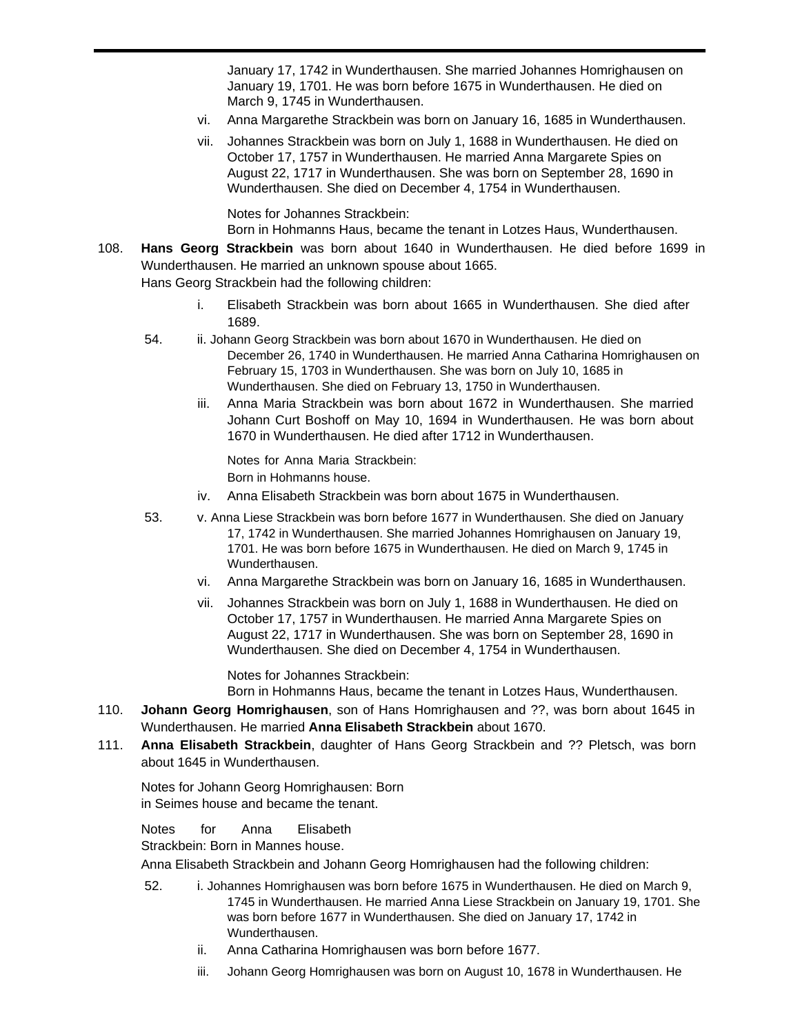January 17, 1742 in Wunderthausen. She married Johannes Homrighausen on January 19, 1701. He was born before 1675 in Wunderthausen. He died on March 9, 1745 in Wunderthausen.

- vi. Anna Margarethe Strackbein was born on January 16, 1685 in Wunderthausen.
- vii. Johannes Strackbein was born on July 1, 1688 in Wunderthausen. He died on October 17, 1757 in Wunderthausen. He married Anna Margarete Spies on August 22, 1717 in Wunderthausen. She was born on September 28, 1690 in Wunderthausen. She died on December 4, 1754 in Wunderthausen.

Notes for Johannes Strackbein:

Born in Hohmanns Haus, became the tenant in Lotzes Haus, Wunderthausen.

- 108. **Hans Georg Strackbein** was born about 1640 in Wunderthausen. He died before 1699 in Wunderthausen. He married an unknown spouse about 1665. Hans Georg Strackbein had the following children:
	- i. Elisabeth Strackbein was born about 1665 in Wunderthausen. She died after 1689.
	- 54. ii. Johann Georg Strackbein was born about 1670 in Wunderthausen. He died on December 26, 1740 in Wunderthausen. He married Anna Catharina Homrighausen on February 15, 1703 in Wunderthausen. She was born on July 10, 1685 in Wunderthausen. She died on February 13, 1750 in Wunderthausen.
		- iii. Anna Maria Strackbein was born about 1672 in Wunderthausen. She married Johann Curt Boshoff on May 10, 1694 in Wunderthausen. He was born about 1670 in Wunderthausen. He died after 1712 in Wunderthausen.

Notes for Anna Maria Strackbein: Born in Hohmanns house.

- iv. Anna Elisabeth Strackbein was born about 1675 in Wunderthausen.
- 53. v. Anna Liese Strackbein was born before 1677 in Wunderthausen. She died on January 17, 1742 in Wunderthausen. She married Johannes Homrighausen on January 19, 1701. He was born before 1675 in Wunderthausen. He died on March 9, 1745 in Wunderthausen.
	- vi. Anna Margarethe Strackbein was born on January 16, 1685 in Wunderthausen.
	- vii. Johannes Strackbein was born on July 1, 1688 in Wunderthausen. He died on October 17, 1757 in Wunderthausen. He married Anna Margarete Spies on August 22, 1717 in Wunderthausen. She was born on September 28, 1690 in Wunderthausen. She died on December 4, 1754 in Wunderthausen.

Notes for Johannes Strackbein:

Born in Hohmanns Haus, became the tenant in Lotzes Haus, Wunderthausen.

- 110. **Johann Georg Homrighausen**, son of Hans Homrighausen and ??, was born about 1645 in Wunderthausen. He married **Anna Elisabeth Strackbein** about 1670.
- 111. **Anna Elisabeth Strackbein**, daughter of Hans Georg Strackbein and ?? Pletsch, was born about 1645 in Wunderthausen.

Notes for Johann Georg Homrighausen: Born in Seimes house and became the tenant.

Notes for Anna Elisabeth

Strackbein: Born in Mannes house.

Anna Elisabeth Strackbein and Johann Georg Homrighausen had the following children:

- 52. i. Johannes Homrighausen was born before 1675 in Wunderthausen. He died on March 9, 1745 in Wunderthausen. He married Anna Liese Strackbein on January 19, 1701. She was born before 1677 in Wunderthausen. She died on January 17, 1742 in Wunderthausen.
	- ii. Anna Catharina Homrighausen was born before 1677.
	- iii. Johann Georg Homrighausen was born on August 10, 1678 in Wunderthausen. He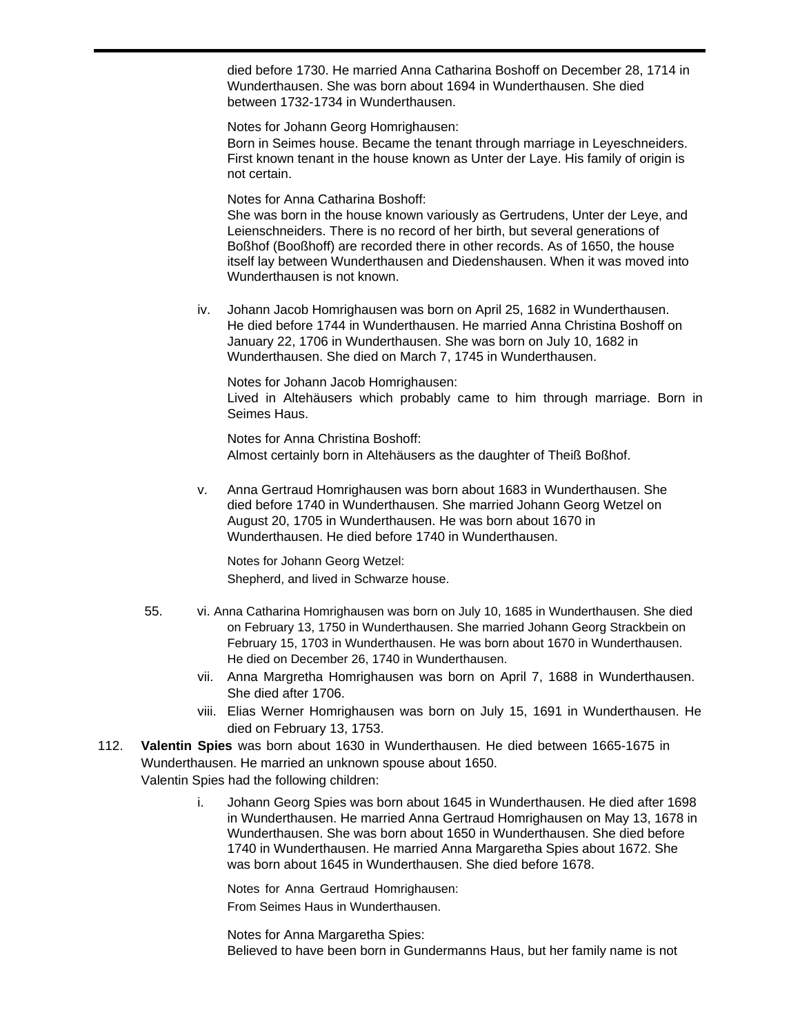died before 1730. He married Anna Catharina Boshoff on December 28, 1714 in Wunderthausen. She was born about 1694 in Wunderthausen. She died between 1732-1734 in Wunderthausen.

Notes for Johann Georg Homrighausen:

Born in Seimes house. Became the tenant through marriage in Leyeschneiders. First known tenant in the house known as Unter der Laye. His family of origin is not certain.

Notes for Anna Catharina Boshoff:

She was born in the house known variously as Gertrudens, Unter der Leye, and Leienschneiders. There is no record of her birth, but several generations of Boßhof (Booßhoff) are recorded there in other records. As of 1650, the house itself lay between Wunderthausen and Diedenshausen. When it was moved into Wunderthausen is not known.

iv. Johann Jacob Homrighausen was born on April 25, 1682 in Wunderthausen. He died before 1744 in Wunderthausen. He married Anna Christina Boshoff on January 22, 1706 in Wunderthausen. She was born on July 10, 1682 in Wunderthausen. She died on March 7, 1745 in Wunderthausen.

Notes for Johann Jacob Homrighausen:

Lived in Altehäusers which probably came to him through marriage. Born in Seimes Haus.

Notes for Anna Christina Boshoff: Almost certainly born in Altehäusers as the daughter of Theiß Boßhof.

v. Anna Gertraud Homrighausen was born about 1683 in Wunderthausen. She died before 1740 in Wunderthausen. She married Johann Georg Wetzel on August 20, 1705 in Wunderthausen. He was born about 1670 in Wunderthausen. He died before 1740 in Wunderthausen.

Notes for Johann Georg Wetzel: Shepherd, and lived in Schwarze house.

- 55. vi. Anna Catharina Homrighausen was born on July 10, 1685 in Wunderthausen. She died on February 13, 1750 in Wunderthausen. She married Johann Georg Strackbein on February 15, 1703 in Wunderthausen. He was born about 1670 in Wunderthausen. He died on December 26, 1740 in Wunderthausen.
	- vii. Anna Margretha Homrighausen was born on April 7, 1688 in Wunderthausen. She died after 1706.
	- viii. Elias Werner Homrighausen was born on July 15, 1691 in Wunderthausen. He died on February 13, 1753.
- 112. **Valentin Spies** was born about 1630 in Wunderthausen. He died between 1665-1675 in Wunderthausen. He married an unknown spouse about 1650. Valentin Spies had the following children:
	- i. Johann Georg Spies was born about 1645 in Wunderthausen. He died after 1698 in Wunderthausen. He married Anna Gertraud Homrighausen on May 13, 1678 in Wunderthausen. She was born about 1650 in Wunderthausen. She died before 1740 in Wunderthausen. He married Anna Margaretha Spies about 1672. She was born about 1645 in Wunderthausen. She died before 1678.

Notes for Anna Gertraud Homrighausen: From Seimes Haus in Wunderthausen.

Notes for Anna Margaretha Spies: Believed to have been born in Gundermanns Haus, but her family name is not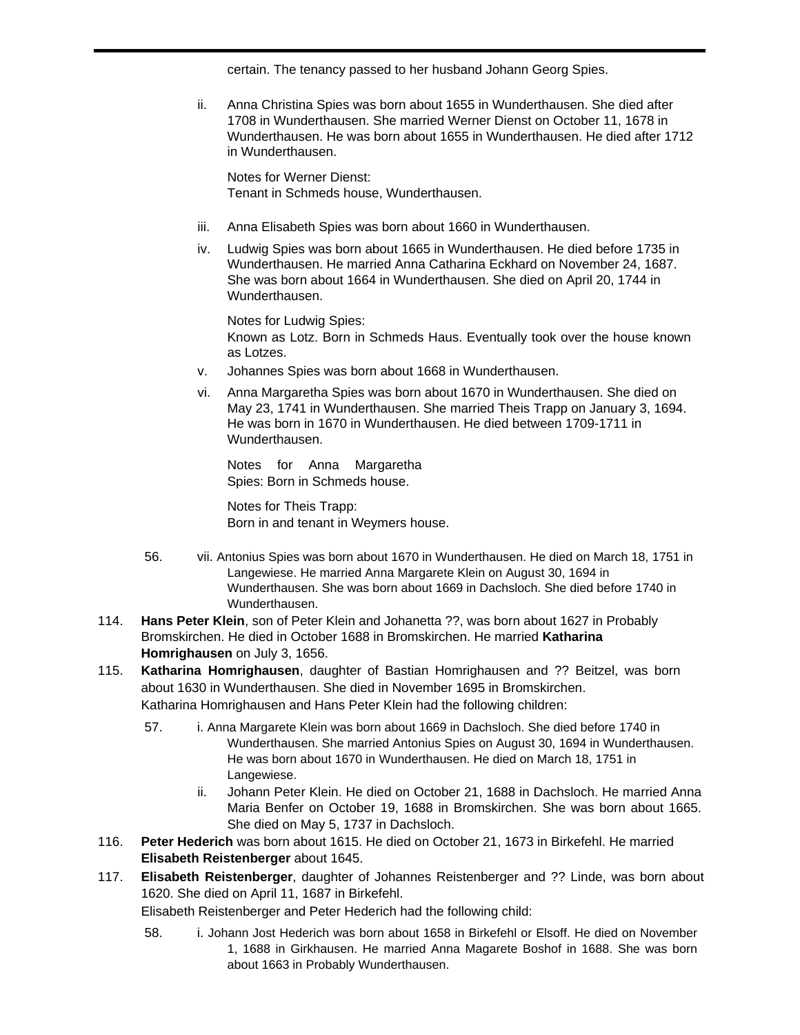certain. The tenancy passed to her husband Johann Georg Spies.

ii. Anna Christina Spies was born about 1655 in Wunderthausen. She died after 1708 in Wunderthausen. She married Werner Dienst on October 11, 1678 in Wunderthausen. He was born about 1655 in Wunderthausen. He died after 1712 in Wunderthausen.

Notes for Werner Dienst: Tenant in Schmeds house, Wunderthausen.

- iii. Anna Elisabeth Spies was born about 1660 in Wunderthausen.
- iv. Ludwig Spies was born about 1665 in Wunderthausen. He died before 1735 in Wunderthausen. He married Anna Catharina Eckhard on November 24, 1687. She was born about 1664 in Wunderthausen. She died on April 20, 1744 in Wunderthausen.

Notes for Ludwig Spies: Known as Lotz. Born in Schmeds Haus. Eventually took over the house known as Lotzes.

- v. Johannes Spies was born about 1668 in Wunderthausen.
- vi. Anna Margaretha Spies was born about 1670 in Wunderthausen. She died on May 23, 1741 in Wunderthausen. She married Theis Trapp on January 3, 1694. He was born in 1670 in Wunderthausen. He died between 1709-1711 in Wunderthausen.

Notes for Anna Margaretha Spies: Born in Schmeds house.

Notes for Theis Trapp: Born in and tenant in Weymers house.

- 56. vii. Antonius Spies was born about 1670 in Wunderthausen. He died on March 18, 1751 in Langewiese. He married Anna Margarete Klein on August 30, 1694 in Wunderthausen. She was born about 1669 in Dachsloch. She died before 1740 in Wunderthausen.
- 114. **Hans Peter Klein**, son of Peter Klein and Johanetta ??, was born about 1627 in Probably Bromskirchen. He died in October 1688 in Bromskirchen. He married **Katharina Homrighausen** on July 3, 1656.
- 115. **Katharina Homrighausen**, daughter of Bastian Homrighausen and ?? Beitzel, was born about 1630 in Wunderthausen. She died in November 1695 in Bromskirchen. Katharina Homrighausen and Hans Peter Klein had the following children:
	- 57. i. Anna Margarete Klein was born about 1669 in Dachsloch. She died before 1740 in Wunderthausen. She married Antonius Spies on August 30, 1694 in Wunderthausen. He was born about 1670 in Wunderthausen. He died on March 18, 1751 in Langewiese.
		- ii. Johann Peter Klein. He died on October 21, 1688 in Dachsloch. He married Anna Maria Benfer on October 19, 1688 in Bromskirchen. She was born about 1665. She died on May 5, 1737 in Dachsloch.
- 116. **Peter Hederich** was born about 1615. He died on October 21, 1673 in Birkefehl. He married **Elisabeth Reistenberger** about 1645.
- 117. **Elisabeth Reistenberger**, daughter of Johannes Reistenberger and ?? Linde, was born about 1620. She died on April 11, 1687 in Birkefehl.

Elisabeth Reistenberger and Peter Hederich had the following child:

58. i. Johann Jost Hederich was born about 1658 in Birkefehl or Elsoff. He died on November 1, 1688 in Girkhausen. He married Anna Magarete Boshof in 1688. She was born about 1663 in Probably Wunderthausen.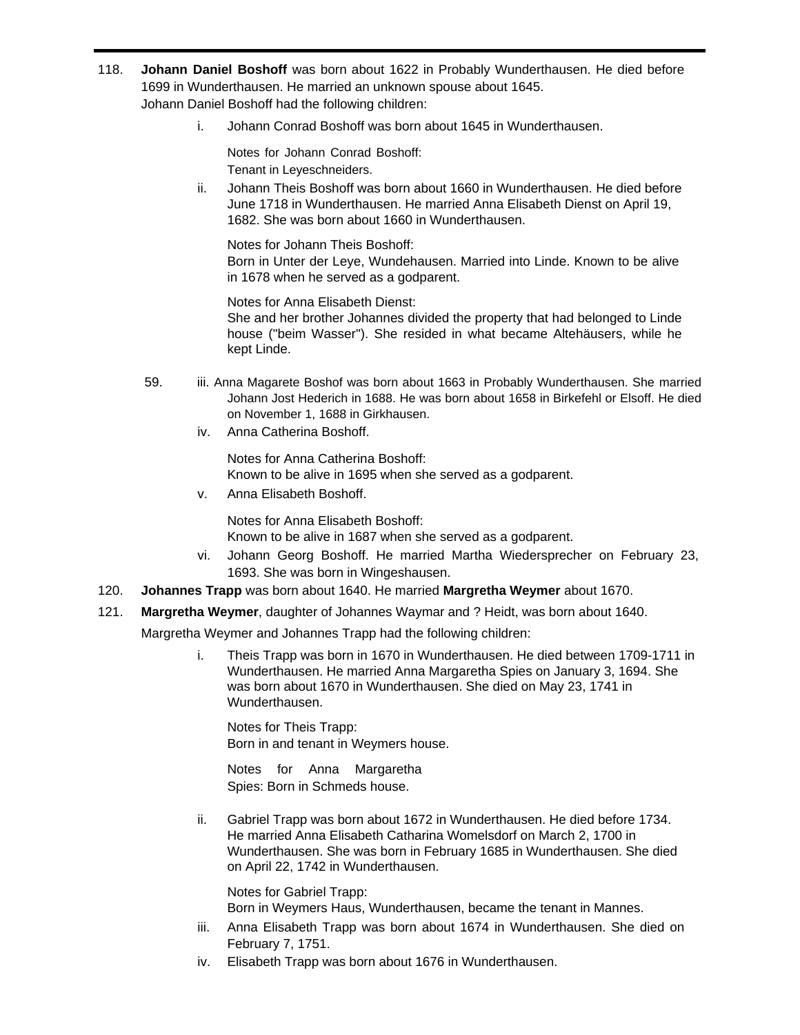- 118. **Johann Daniel Boshoff** was born about 1622 in Probably Wunderthausen. He died before 1699 in Wunderthausen. He married an unknown spouse about 1645. Johann Daniel Boshoff had the following children:
	- i. Johann Conrad Boshoff was born about 1645 in Wunderthausen.

Notes for Johann Conrad Boshoff: Tenant in Leyeschneiders.

ii. Johann Theis Boshoff was born about 1660 in Wunderthausen. He died before June 1718 in Wunderthausen. He married Anna Elisabeth Dienst on April 19, 1682. She was born about 1660 in Wunderthausen.

Notes for Johann Theis Boshoff: Born in Unter der Leye, Wundehausen. Married into Linde. Known to be alive in 1678 when he served as a godparent.

Notes for Anna Elisabeth Dienst: She and her brother Johannes divided the property that had belonged to Linde house ("beim Wasser"). She resided in what became Altehäusers, while he kept Linde.

- 59. iii. Anna Magarete Boshof was born about 1663 in Probably Wunderthausen. She married Johann Jost Hederich in 1688. He was born about 1658 in Birkefehl or Elsoff. He died on November 1, 1688 in Girkhausen.
	- iv. Anna Catherina Boshoff.

Notes for Anna Catherina Boshoff: Known to be alive in 1695 when she served as a godparent.

v. Anna Elisabeth Boshoff.

Notes for Anna Elisabeth Boshoff:

Known to be alive in 1687 when she served as a godparent.

- vi. Johann Georg Boshoff. He married Martha Wiedersprecher on February 23, 1693. She was born in Wingeshausen.
- 120. **Johannes Trapp** was born about 1640. He married **Margretha Weymer** about 1670.
- 121. **Margretha Weymer**, daughter of Johannes Waymar and ? Heidt, was born about 1640.

Margretha Weymer and Johannes Trapp had the following children:

i. Theis Trapp was born in 1670 in Wunderthausen. He died between 1709-1711 in Wunderthausen. He married Anna Margaretha Spies on January 3, 1694. She was born about 1670 in Wunderthausen. She died on May 23, 1741 in Wunderthausen.

Notes for Theis Trapp: Born in and tenant in Weymers house.

Notes for Anna Margaretha Spies: Born in Schmeds house.

ii. Gabriel Trapp was born about 1672 in Wunderthausen. He died before 1734. He married Anna Elisabeth Catharina Womelsdorf on March 2, 1700 in Wunderthausen. She was born in February 1685 in Wunderthausen. She died on April 22, 1742 in Wunderthausen.

Notes for Gabriel Trapp: Born in Weymers Haus, Wunderthausen, became the tenant in Mannes.

- iii. Anna Elisabeth Trapp was born about 1674 in Wunderthausen. She died on February 7, 1751.
- iv. Elisabeth Trapp was born about 1676 in Wunderthausen.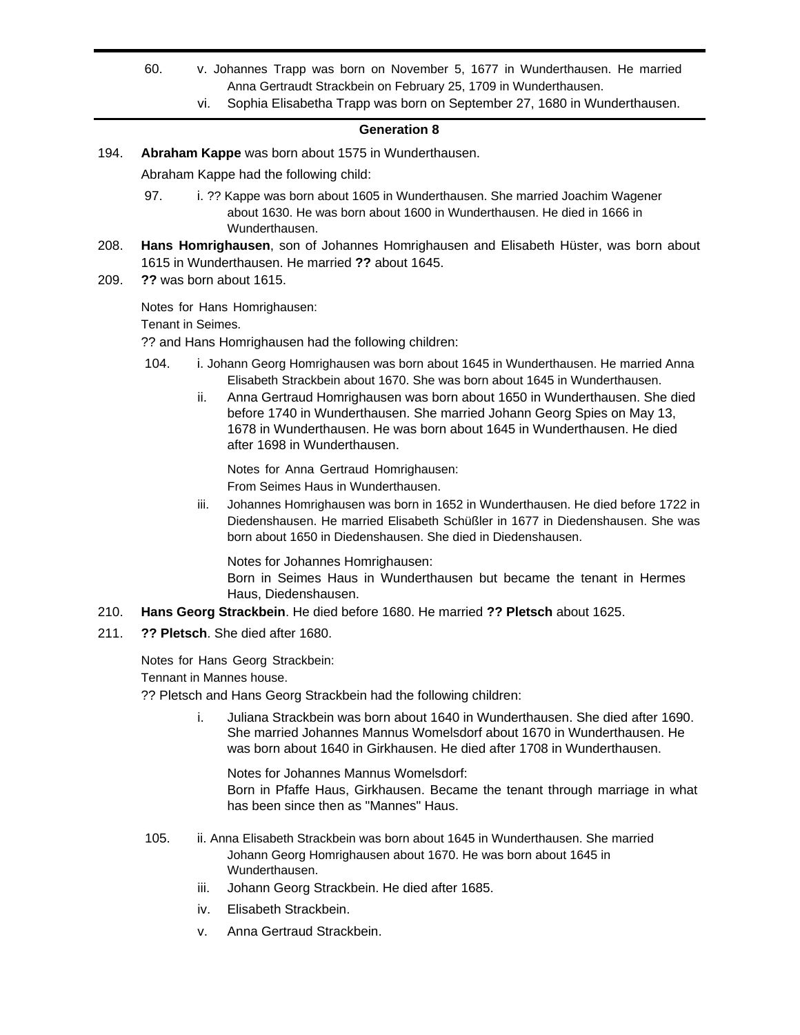- 60. v. Johannes Trapp was born on November 5, 1677 in Wunderthausen. He married Anna Gertraudt Strackbein on February 25, 1709 in Wunderthausen.
	- vi. Sophia Elisabetha Trapp was born on September 27, 1680 in Wunderthausen.

## **Generation 8**

194. **Abraham Kappe** was born about 1575 in Wunderthausen.

Abraham Kappe had the following child:

- 97. i. ?? Kappe was born about 1605 in Wunderthausen. She married Joachim Wagener about 1630. He was born about 1600 in Wunderthausen. He died in 1666 in Wunderthausen.
- 208. **Hans Homrighausen**, son of Johannes Homrighausen and Elisabeth Hüster, was born about 1615 in Wunderthausen. He married **??** about 1645.
- 209. **??** was born about 1615.

Notes for Hans Homrighausen:

Tenant in Seimes.

?? and Hans Homrighausen had the following children:

- 104. i. Johann Georg Homrighausen was born about 1645 in Wunderthausen. He married Anna Elisabeth Strackbein about 1670. She was born about 1645 in Wunderthausen.
	- ii. Anna Gertraud Homrighausen was born about 1650 in Wunderthausen. She died before 1740 in Wunderthausen. She married Johann Georg Spies on May 13, 1678 in Wunderthausen. He was born about 1645 in Wunderthausen. He died after 1698 in Wunderthausen.

Notes for Anna Gertraud Homrighausen: From Seimes Haus in Wunderthausen.

iii. Johannes Homrighausen was born in 1652 in Wunderthausen. He died before 1722 in Diedenshausen. He married Elisabeth Schüßler in 1677 in Diedenshausen. She was born about 1650 in Diedenshausen. She died in Diedenshausen.

Notes for Johannes Homrighausen:

Born in Seimes Haus in Wunderthausen but became the tenant in Hermes Haus, Diedenshausen.

- 210. **Hans Georg Strackbein**. He died before 1680. He married **?? Pletsch** about 1625.
- 211. **?? Pletsch**. She died after 1680.

Notes for Hans Georg Strackbein:

Tennant in Mannes house.

?? Pletsch and Hans Georg Strackbein had the following children:

i. Juliana Strackbein was born about 1640 in Wunderthausen. She died after 1690. She married Johannes Mannus Womelsdorf about 1670 in Wunderthausen. He was born about 1640 in Girkhausen. He died after 1708 in Wunderthausen.

Notes for Johannes Mannus Womelsdorf: Born in Pfaffe Haus, Girkhausen. Became the tenant through marriage in what has been since then as "Mannes" Haus.

- 105. ii. Anna Elisabeth Strackbein was born about 1645 in Wunderthausen. She married Johann Georg Homrighausen about 1670. He was born about 1645 in Wunderthausen.
	- iii. Johann Georg Strackbein. He died after 1685.
	- iv. Elisabeth Strackbein.
	- v. Anna Gertraud Strackbein.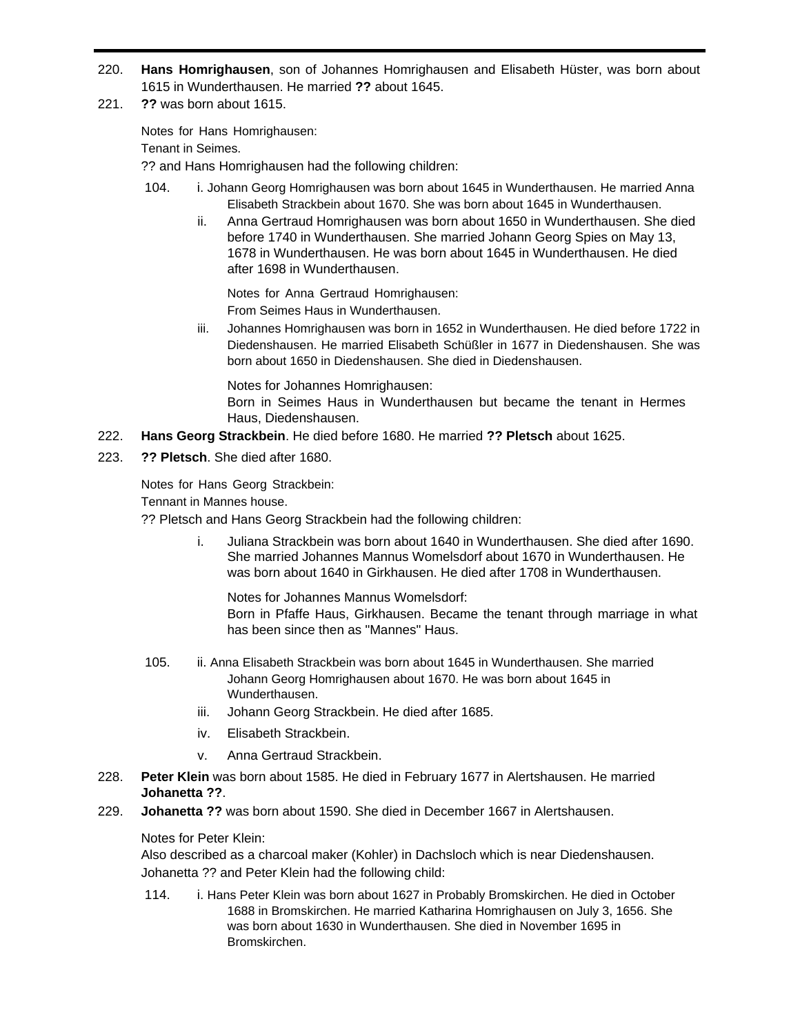- 220. **Hans Homrighausen**, son of Johannes Homrighausen and Elisabeth Hüster, was born about 1615 in Wunderthausen. He married **??** about 1645.
- 221. **??** was born about 1615.

Notes for Hans Homrighausen:

Tenant in Seimes.

?? and Hans Homrighausen had the following children:

- 104. i. Johann Georg Homrighausen was born about 1645 in Wunderthausen. He married Anna Elisabeth Strackbein about 1670. She was born about 1645 in Wunderthausen.
	- ii. Anna Gertraud Homrighausen was born about 1650 in Wunderthausen. She died before 1740 in Wunderthausen. She married Johann Georg Spies on May 13, 1678 in Wunderthausen. He was born about 1645 in Wunderthausen. He died after 1698 in Wunderthausen.

Notes for Anna Gertraud Homrighausen: From Seimes Haus in Wunderthausen.

iii. Johannes Homrighausen was born in 1652 in Wunderthausen. He died before 1722 in Diedenshausen. He married Elisabeth Schüßler in 1677 in Diedenshausen. She was born about 1650 in Diedenshausen. She died in Diedenshausen.

Notes for Johannes Homrighausen:

Born in Seimes Haus in Wunderthausen but became the tenant in Hermes Haus, Diedenshausen.

- 222. **Hans Georg Strackbein**. He died before 1680. He married **?? Pletsch** about 1625.
- 223. **?? Pletsch**. She died after 1680.

Notes for Hans Georg Strackbein:

Tennant in Mannes house.

?? Pletsch and Hans Georg Strackbein had the following children:

i. Juliana Strackbein was born about 1640 in Wunderthausen. She died after 1690. She married Johannes Mannus Womelsdorf about 1670 in Wunderthausen. He was born about 1640 in Girkhausen. He died after 1708 in Wunderthausen.

Notes for Johannes Mannus Womelsdorf: Born in Pfaffe Haus, Girkhausen. Became the tenant through marriage in what has been since then as "Mannes" Haus.

- 105. ii. Anna Elisabeth Strackbein was born about 1645 in Wunderthausen. She married Johann Georg Homrighausen about 1670. He was born about 1645 in Wunderthausen.
	- iii. Johann Georg Strackbein. He died after 1685.
	- iv. Elisabeth Strackbein.
	- v. Anna Gertraud Strackbein.
- 228. **Peter Klein** was born about 1585. He died in February 1677 in Alertshausen. He married **Johanetta ??**.
- 229. **Johanetta ??** was born about 1590. She died in December 1667 in Alertshausen.

# Notes for Peter Klein:

Also described as a charcoal maker (Kohler) in Dachsloch which is near Diedenshausen. Johanetta ?? and Peter Klein had the following child:

114. i. Hans Peter Klein was born about 1627 in Probably Bromskirchen. He died in October 1688 in Bromskirchen. He married Katharina Homrighausen on July 3, 1656. She was born about 1630 in Wunderthausen. She died in November 1695 in Bromskirchen.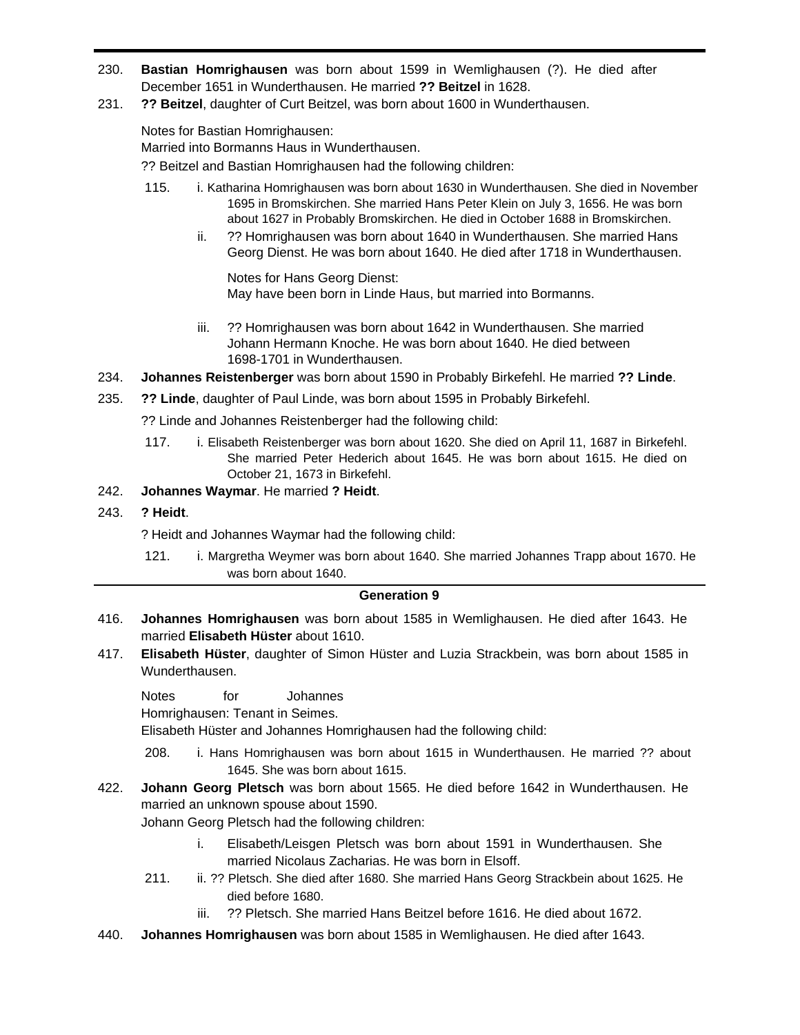- 230. **Bastian Homrighausen** was born about 1599 in Wemlighausen (?). He died after December 1651 in Wunderthausen. He married **?? Beitzel** in 1628.
- 231. **?? Beitzel**, daughter of Curt Beitzel, was born about 1600 in Wunderthausen.

Notes for Bastian Homrighausen:

Married into Bormanns Haus in Wunderthausen.

?? Beitzel and Bastian Homrighausen had the following children:

- 115. i. Katharina Homrighausen was born about 1630 in Wunderthausen. She died in November 1695 in Bromskirchen. She married Hans Peter Klein on July 3, 1656. He was born about 1627 in Probably Bromskirchen. He died in October 1688 in Bromskirchen.
	- ii. **?? Homrighausen was born about 1640 in Wunderthausen. She married Hans** Georg Dienst. He was born about 1640. He died after 1718 in Wunderthausen.

Notes for Hans Georg Dienst: May have been born in Linde Haus, but married into Bormanns.

- iii. ?? Homrighausen was born about 1642 in Wunderthausen. She married Johann Hermann Knoche. He was born about 1640. He died between 1698-1701 in Wunderthausen.
- 234. **Johannes Reistenberger** was born about 1590 in Probably Birkefehl. He married **?? Linde**.
- 235. **?? Linde**, daughter of Paul Linde, was born about 1595 in Probably Birkefehl.

?? Linde and Johannes Reistenberger had the following child:

117. i. Elisabeth Reistenberger was born about 1620. She died on April 11, 1687 in Birkefehl. She married Peter Hederich about 1645. He was born about 1615. He died on October 21, 1673 in Birkefehl.

# 242. **Johannes Waymar**. He married **? Heidt**.

# 243. **? Heidt**.

? Heidt and Johannes Waymar had the following child:

121. i. Margretha Weymer was born about 1640. She married Johannes Trapp about 1670. He was born about 1640.

# **Generation 9**

- 416. **Johannes Homrighausen** was born about 1585 in Wemlighausen. He died after 1643. He married **Elisabeth Hüster** about 1610.
- 417. **Elisabeth Hüster**, daughter of Simon Hüster and Luzia Strackbein, was born about 1585 in Wunderthausen.

Notes for Johannes Homrighausen: Tenant in Seimes.

Elisabeth Hüster and Johannes Homrighausen had the following child:

208. i. Hans Homrighausen was born about 1615 in Wunderthausen. He married ?? about 1645. She was born about 1615.

422. **Johann Georg Pletsch** was born about 1565. He died before 1642 in Wunderthausen. He married an unknown spouse about 1590.

Johann Georg Pletsch had the following children:

- i. Elisabeth/Leisgen Pletsch was born about 1591 in Wunderthausen. She married Nicolaus Zacharias. He was born in Elsoff.
- 211. ii. ?? Pletsch. She died after 1680. She married Hans Georg Strackbein about 1625. He died before 1680.
	- iii. ?? Pletsch. She married Hans Beitzel before 1616. He died about 1672.
- 440. **Johannes Homrighausen** was born about 1585 in Wemlighausen. He died after 1643.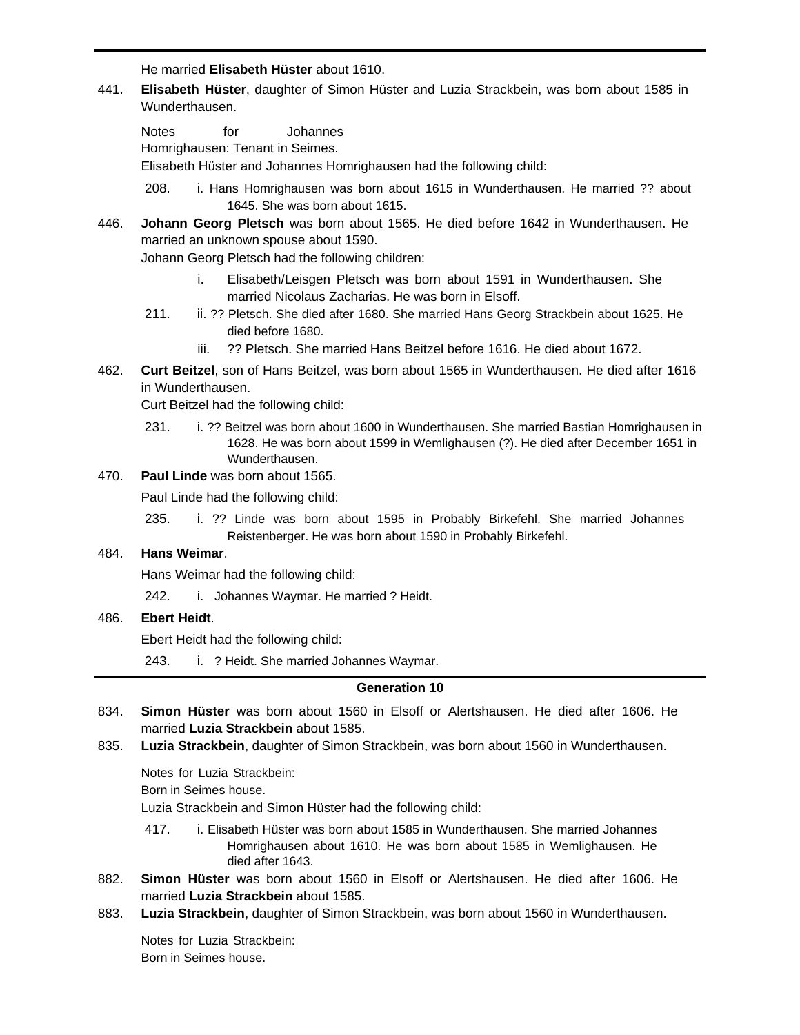He married **Elisabeth Hüster** about 1610.

441. **Elisabeth Hüster**, daughter of Simon Hüster and Luzia Strackbein, was born about 1585 in Wunderthausen.

Notes for Johannes Homrighausen: Tenant in Seimes. Elisabeth Hüster and Johannes Homrighausen had the following child:

- 208. i. Hans Homrighausen was born about 1615 in Wunderthausen. He married ?? about 1645. She was born about 1615.
- 446. **Johann Georg Pletsch** was born about 1565. He died before 1642 in Wunderthausen. He married an unknown spouse about 1590.

Johann Georg Pletsch had the following children:

- i. Elisabeth/Leisgen Pletsch was born about 1591 in Wunderthausen. She married Nicolaus Zacharias. He was born in Elsoff.
- 211. ii. ?? Pletsch. She died after 1680. She married Hans Georg Strackbein about 1625. He died before 1680.
	- iii. ?? Pletsch. She married Hans Beitzel before 1616. He died about 1672.
- 462. **Curt Beitzel**, son of Hans Beitzel, was born about 1565 in Wunderthausen. He died after 1616 in Wunderthausen.

Curt Beitzel had the following child:

231. i. ?? Beitzel was born about 1600 in Wunderthausen. She married Bastian Homrighausen in 1628. He was born about 1599 in Wemlighausen (?). He died after December 1651 in Wunderthausen.

## 470. **Paul Linde** was born about 1565.

Paul Linde had the following child:

235. i. ?? Linde was born about 1595 in Probably Birkefehl. She married Johannes Reistenberger. He was born about 1590 in Probably Birkefehl.

## 484. **Hans Weimar**.

Hans Weimar had the following child:

242. i. Johannes Waymar. He married ? Heidt.

## 486. **Ebert Heidt**.

Ebert Heidt had the following child:

243. i. ? Heidt. She married Johannes Waymar.

#### **Generation 10**

- 834. **Simon Hüster** was born about 1560 in Elsoff or Alertshausen. He died after 1606. He married **Luzia Strackbein** about 1585.
- 835. **Luzia Strackbein**, daughter of Simon Strackbein, was born about 1560 in Wunderthausen.

Notes for Luzia Strackbein:

Born in Seimes house.

Luzia Strackbein and Simon Hüster had the following child:

- 417. i. Elisabeth Hüster was born about 1585 in Wunderthausen. She married Johannes Homrighausen about 1610. He was born about 1585 in Wemlighausen. He died after 1643.
- 882. **Simon Hüster** was born about 1560 in Elsoff or Alertshausen. He died after 1606. He married **Luzia Strackbein** about 1585.
- 883. **Luzia Strackbein**, daughter of Simon Strackbein, was born about 1560 in Wunderthausen.

Notes for Luzia Strackbein: Born in Seimes house.